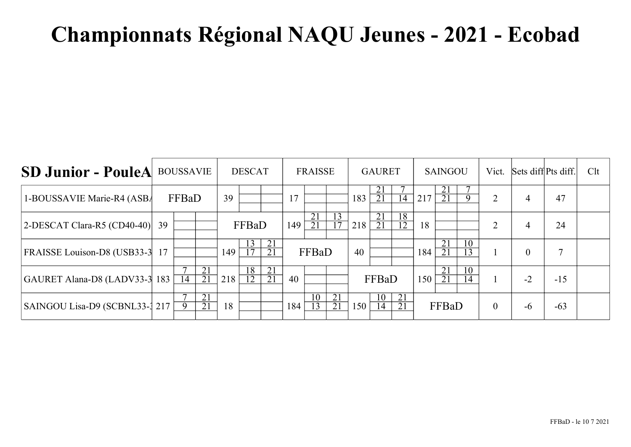| <b>SD Junior - PouleA</b>       | <b>BOUSSAVIE</b> |                 | <b>DESCAT</b>         |     |                       | <b>FRAISSE</b>        |     |          | <b>GAURET</b>         |     | <b>SAINGOU</b>        |                       |     | Vict.                 | Sets diff Pts diff.   |                | Clt            |              |  |
|---------------------------------|------------------|-----------------|-----------------------|-----|-----------------------|-----------------------|-----|----------|-----------------------|-----|-----------------------|-----------------------|-----|-----------------------|-----------------------|----------------|----------------|--------------|--|
| 1-BOUSSAVIE Marie-R4 (ASB/      |                  | FFBaD           |                       | 39  |                       |                       | 17  |          |                       | 183 | 21<br>$\overline{21}$ | 14                    | 217 | 21<br>21              |                       | 2              | $\overline{4}$ | 47           |  |
| $ 2$ -DESCAT Clara-R5 (CD40-40) | 39               |                 |                       |     | FFBaD                 |                       | 149 | 21<br>21 | 13<br>$\overline{17}$ | 218 | 21<br>21              | 18<br>$\overline{12}$ | 18  |                       |                       | 2              | $\overline{4}$ | 24           |  |
| FRAISSE Louison-D8 (USB33-3 17  |                  |                 |                       | 149 | 13<br>$\overline{17}$ | 21<br>21              |     | FFBaD    |                       | 40  |                       |                       | 184 | 21<br>$\overline{21}$ | 10<br>$\overline{13}$ |                | $\mathbf{0}$   | $\mathbf{r}$ |  |
| GAURET Alana-D8 (LADV33-3 183   |                  | $1\overline{4}$ | 21<br>$\overline{21}$ | 218 | $\overline{18}$<br>12 | 21<br>$\overline{21}$ | 40  |          |                       |     | FFBaD                 |                       | 150 | 21<br>$\overline{21}$ | 10<br>14              |                | $-2$           | $-15$        |  |
| SAINGOU Lisa-D9 (SCBNL33-1 217) |                  | 9               | 21<br>21              | 18  |                       |                       | 184 | 10<br>13 | 21<br>21              | 150 | 10<br>14              | 21<br>21              |     | FFBaD                 |                       | $\overline{0}$ | $-6$           | $-63$        |  |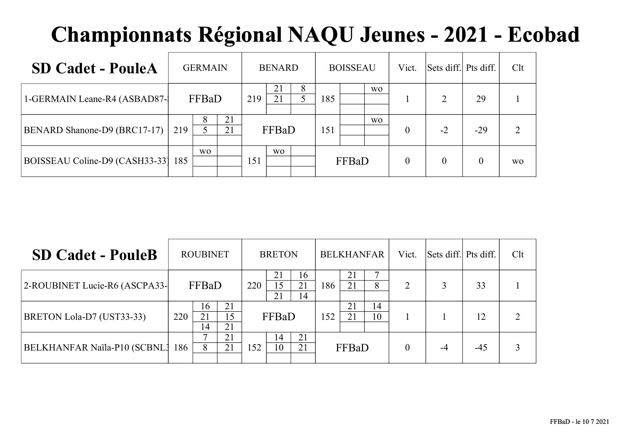| <b>SD Cadet - PouleA</b>            | <b>GERMAIN</b> |           |          |     | <b>BENARD</b>  |   | <b>BOISSEAU</b> |       |           | Vict.    | Sets diff. Pts diff. |       | Clt       |
|-------------------------------------|----------------|-----------|----------|-----|----------------|---|-----------------|-------|-----------|----------|----------------------|-------|-----------|
| 1-GERMAIN Leane-R4 (ASBAD87-1       |                | FFBaD     |          | 219 | 21<br>21       | 8 | 185             |       | <b>WO</b> |          |                      | 29    |           |
| <b>BENARD Shanone-D9 (BRC17-17)</b> | 219            | 8         | 21<br>21 |     | FFBaD          |   | 151             |       | <b>WO</b> | $\theta$ | $-2$                 | $-29$ | ↑         |
| BOISSEAU Coline-D9 (CASH33-33) 185  |                | <b>WO</b> |          | 151 | W <sub>O</sub> |   |                 | FFBaD |           | $\theta$ | $\theta$             |       | <b>WO</b> |

| <b>SD Cadet - PouleB</b>         | <b>ROUBINET</b> |                |                |     | <b>BRETON</b>  |                             |     | <b>BELKHANFAR</b> |          |          | Sets diff. Pts diff. |       | Clt |
|----------------------------------|-----------------|----------------|----------------|-----|----------------|-----------------------------|-----|-------------------|----------|----------|----------------------|-------|-----|
| 2-ROUBINET Lucie-R6 (ASCPA33-    |                 | FFBaD          |                | 220 | 21<br>15<br>21 | 16<br>21<br>$\overline{14}$ | 186 | 21<br>21          | 8        | າ        |                      | 33    |     |
| <b>BRETON Lola-D7 (UST33-33)</b> | 220             | 16<br>21<br>14 | 21<br>15<br>21 |     | FFBaD          |                             | 152 | 21<br>21          | 14<br>10 |          |                      | 12    |     |
| BELKHANFAR Naïla-P10 (SCBNL3 186 |                 | 8              | 21<br>21       | 152 | 14<br>10       | 21<br>21                    |     | FFBaD             |          | $\theta$ | $-4$                 | $-45$ |     |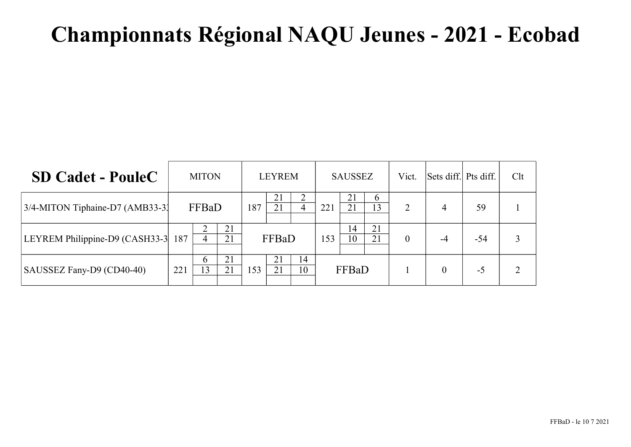| <b>SD Cadet - PouleC</b>           | <b>MITON</b> |                      |          |     | <b>LEYREM</b> |          | <b>SAUSSEZ</b> |          |                | Vict.          | Sets diff. Pts diff. |       | Clt |
|------------------------------------|--------------|----------------------|----------|-----|---------------|----------|----------------|----------|----------------|----------------|----------------------|-------|-----|
| 3/4-MITON Tiphaine-D7 (AMB33-3)    |              | FFBaD                |          | 187 | 21<br>21      | 4        | 221            | 21<br>21 | $\sigma$<br>13 | $\overline{2}$ | $\overline{4}$       | 59    |     |
| LEYREM Philippine-D9 (CASH33-3 187 |              | 4                    | 21<br>21 |     | FFBaD         |          | 153            | 14<br>10 | 21<br>21       | $\overline{0}$ | $-4$                 | $-54$ |     |
| SAUSSEZ Fany-D9 (CD40-40)          | 221          | $\mathfrak{h}$<br>13 | 21<br>21 | 153 | 21<br>21      | 14<br>10 |                | FFBaD    |                |                | 0                    | $-5$  |     |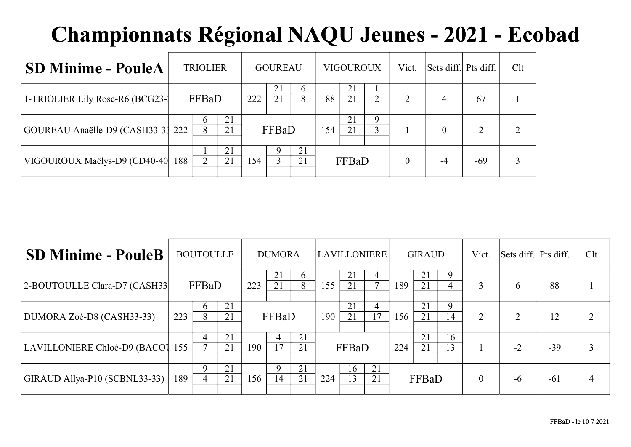| <b>SD Minime - PouleA</b>         | <b>TRIOLIER</b>   |          | <b>GOUREAU</b> |                   |          | <b>VIGOUROUX</b> |          | Vict.               | Sets diff. Pts diff. |          | Clt   |  |
|-----------------------------------|-------------------|----------|----------------|-------------------|----------|------------------|----------|---------------------|----------------------|----------|-------|--|
| 1-TRIOLIER Lily Rose-R6 (BCG23-1) | FFBaD             | 222      | 21<br>21       | <sub>b</sub><br>8 | 188      | 21<br>21         | ↑        | $\overline{2}$      | 4                    | 67       |       |  |
| GOUREAU Anaëlle-D9 (CASH33-31 222 | <sub>0</sub><br>8 | 21<br>21 |                | FFBaD             |          | 154              | 21<br>21 | 9<br>$\overline{3}$ |                      | $\theta$ |       |  |
| VIGOUROUX Maëlys-D9 (CD40-40)     | 188               | 21<br>21 | 154            |                   | 21<br>21 |                  | FFBaD    |                     | $\theta$             | -4       | $-69$ |  |

| <b>SD Minime - PouleB</b>        |     | <b>BOUTOULLE</b>    |          | <b>DUMORA</b> |                   |                     | <b>LAVILLONIERE</b> |          |                      | <b>GIRAUD</b> |          |                     | Vict.    | Sets diff. Pts diff. |       | Clt |
|----------------------------------|-----|---------------------|----------|---------------|-------------------|---------------------|---------------------|----------|----------------------|---------------|----------|---------------------|----------|----------------------|-------|-----|
| 2-BOUTOULLE Clara-D7 (CASH33)    |     | FFBaD               |          | 223           | 21<br>21          | $\mathfrak{b}$<br>8 | 155                 | 21<br>21 | 4<br>$\mathbf{\tau}$ | 189           | 21<br>21 | 9<br>$\overline{4}$ | 3        | 6                    | 88    |     |
| DUMORA Zoé-D8 (CASH33-33)        | 223 | h.<br>8             | 21<br>21 |               | FFBaD             |                     | 190                 | 21<br>21 | 4<br>17              | I 56          | 21<br>21 | 9<br>14             | 2        | $\mathcal{D}$        | 12    |     |
| LAVILLONIERE Chloé-D9 (BACOU 155 |     | 4                   | 21<br>21 | 190           | 4<br>17           | 21<br>21            |                     | FFBaD    |                      | 224           | 21<br>21 | 16<br>13            |          | $-2$                 | $-39$ |     |
| GIRAUD Allya-P10 (SCBNL33-33)    | 189 | 9<br>$\overline{4}$ | 21<br>21 | 156           | $\mathbf Q$<br>14 | 21<br>21            | 224                 | 16<br>13 | 21<br>21             |               | FFBaD    |                     | $\theta$ | -6                   | $-61$ | 4   |